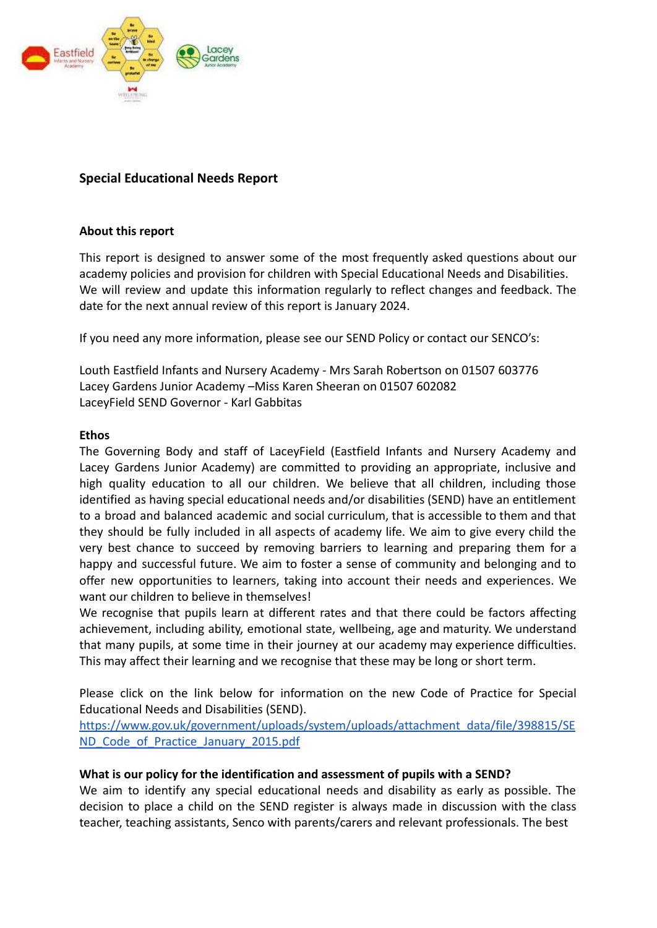

# **Special Educational Needs Report**

#### **About this report**

This report is designed to answer some of the most frequently asked questions about our academy policies and provision for children with Special Educational Needs and Disabilities. We will review and update this information regularly to reflect changes and feedback. The date for the next annual review of this report is January 2024.

If you need any more information, please see our SEND Policy or contact our SENCO's:

Louth Eastfield Infants and Nursery Academy - Mrs Sarah Robertson on 01507 603776 Lacey Gardens Junior Academy –Miss Karen Sheeran on 01507 602082 LaceyField SEND Governor - Karl Gabbitas

#### **Ethos**

The Governing Body and staff of LaceyField (Eastfield Infants and Nursery Academy and Lacey Gardens Junior Academy) are committed to providing an appropriate, inclusive and high quality education to all our children. We believe that all children, including those identified as having special educational needs and/or disabilities (SEND) have an entitlement to a broad and balanced academic and social curriculum, that is accessible to them and that they should be fully included in all aspects of academy life. We aim to give every child the very best chance to succeed by removing barriers to learning and preparing them for a happy and successful future. We aim to foster a sense of community and belonging and to offer new opportunities to learners, taking into account their needs and experiences. We want our children to believe in themselves!

We recognise that pupils learn at different rates and that there could be factors affecting achievement, including ability, emotional state, wellbeing, age and maturity. We understand that many pupils, at some time in their journey at our academy may experience difficulties. This may affect their learning and we recognise that these may be long or short term.

Please click on the link below for information on the new Code of Practice for Special Educational Needs and Disabilities (SEND).

[https://www.gov.uk/government/uploads/system/uploads/attachment\\_data/file/398815/SE](https://www.gov.uk/government/uploads/system/uploads/attachment_data/file/398815/SEND_Code_of_Practice_January_2015.pdf) [ND\\_Code\\_of\\_Practice\\_January\\_2015.pdf](https://www.gov.uk/government/uploads/system/uploads/attachment_data/file/398815/SEND_Code_of_Practice_January_2015.pdf)

#### **What is our policy for the identification and assessment of pupils with a SEND?**

We aim to identify any special educational needs and disability as early as possible. The decision to place a child on the SEND register is always made in discussion with the class teacher, teaching assistants, Senco with parents/carers and relevant professionals. The best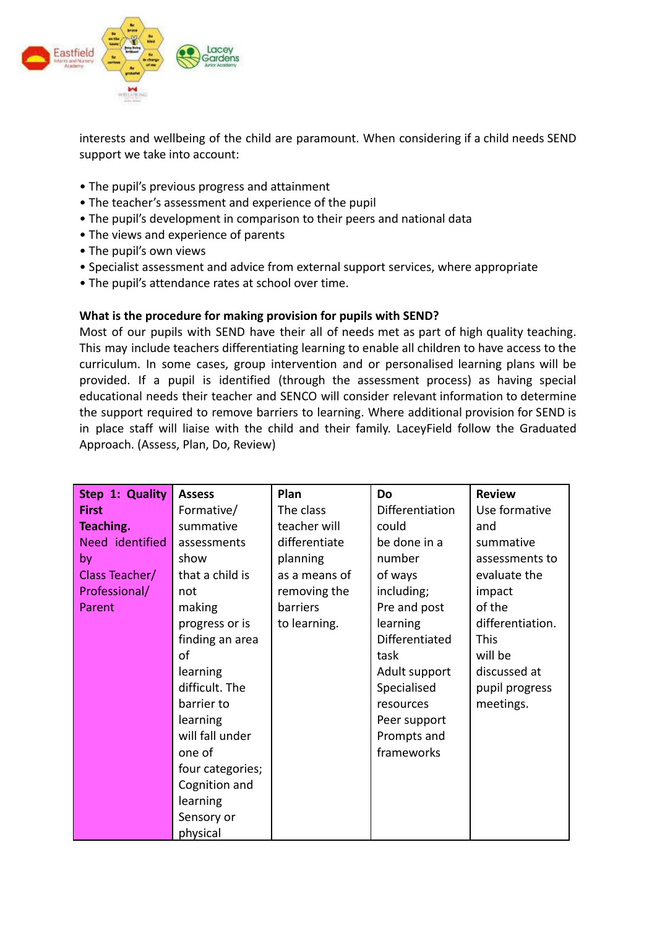

interests and wellbeing of the child are paramount. When considering if a child needs SEND support we take into account:

- The pupil's previous progress and attainment
- The teacher's assessment and experience of the pupil
- The pupil's development in comparison to their peers and national data
- The views and experience of parents
- The pupil's own views
- Specialist assessment and advice from external support services, where appropriate
- The pupil's attendance rates at school over time.

#### **What is the procedure for making provision for pupils with SEND?**

Most of our pupils with SEND have their all of needs met as part of high quality teaching. This may include teachers differentiating learning to enable all children to have access to the curriculum. In some cases, group intervention and or personalised learning plans will be provided. If a pupil is identified (through the assessment process) as having special educational needs their teacher and SENCO will consider relevant information to determine the support required to remove barriers to learning. Where additional provision for SEND is in place staff will liaise with the child and their family. LaceyField follow the Graduated Approach. (Assess, Plan, Do, Review)

| Step 1: Quality | <b>Assess</b>    | Plan          | <b>Do</b>       | <b>Review</b>    |
|-----------------|------------------|---------------|-----------------|------------------|
| <b>First</b>    | Formative/       | The class     | Differentiation | Use formative    |
| Teaching.       | summative        | teacher will  | could           | and              |
| Need identified | assessments      | differentiate | be done in a    | summative        |
| by              | show             | planning      | number          | assessments to   |
| Class Teacher/  | that a child is  | as a means of | of ways         | evaluate the     |
| Professional/   | not              | removing the  | including;      | impact           |
| Parent          | making           | barriers      | Pre and post    | of the           |
|                 | progress or is   | to learning.  | learning        | differentiation. |
|                 | finding an area  |               | Differentiated  | <b>This</b>      |
|                 | of               |               | task            | will be          |
|                 | learning         |               | Adult support   | discussed at     |
|                 | difficult. The   |               | Specialised     | pupil progress   |
|                 | barrier to       |               | resources       | meetings.        |
|                 | learning         |               | Peer support    |                  |
|                 | will fall under  |               | Prompts and     |                  |
|                 | one of           |               | frameworks      |                  |
|                 | four categories; |               |                 |                  |
|                 | Cognition and    |               |                 |                  |
|                 | learning         |               |                 |                  |
|                 | Sensory or       |               |                 |                  |
|                 | physical         |               |                 |                  |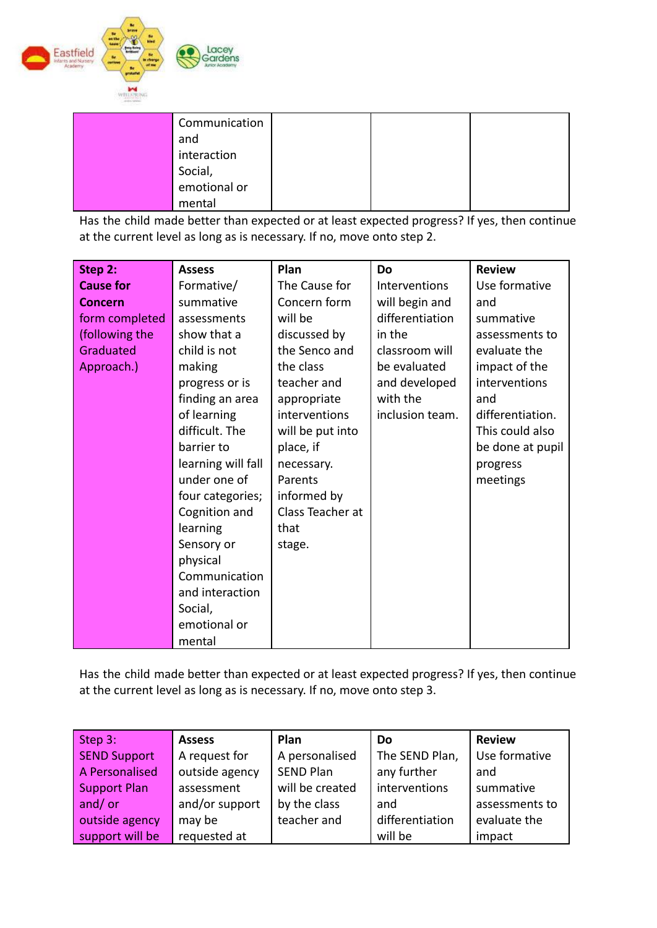

| Communication           |  |  |
|-------------------------|--|--|
| and                     |  |  |
| interaction             |  |  |
| Social,<br>emotional or |  |  |
|                         |  |  |
| mental                  |  |  |

Has the child made better than expected or at least expected progress? If yes, then continue at the current level as long as is necessary. If no, move onto step 2.

| Step 2:          | <b>Assess</b>      | Plan             | Do              | <b>Review</b>    |
|------------------|--------------------|------------------|-----------------|------------------|
| <b>Cause for</b> | Formative/         | The Cause for    | Interventions   | Use formative    |
| <b>Concern</b>   | summative          | Concern form     | will begin and  | and              |
| form completed   | assessments        | will be          | differentiation | summative        |
| (following the   | show that a        | discussed by     | in the          | assessments to   |
| Graduated        | child is not       | the Senco and    | classroom will  | evaluate the     |
| Approach.)       | making             | the class        | be evaluated    | impact of the    |
|                  | progress or is     | teacher and      | and developed   | interventions    |
|                  | finding an area    | appropriate      | with the        | and              |
|                  | of learning        | interventions    | inclusion team. | differentiation. |
|                  | difficult. The     | will be put into |                 | This could also  |
|                  | barrier to         | place, if        |                 | be done at pupil |
|                  | learning will fall | necessary.       |                 | progress         |
|                  | under one of       | Parents          |                 | meetings         |
|                  | four categories;   | informed by      |                 |                  |
|                  | Cognition and      | Class Teacher at |                 |                  |
|                  | learning           | that             |                 |                  |
|                  | Sensory or         | stage.           |                 |                  |
|                  | physical           |                  |                 |                  |
|                  | Communication      |                  |                 |                  |
|                  | and interaction    |                  |                 |                  |
|                  | Social,            |                  |                 |                  |
|                  | emotional or       |                  |                 |                  |
|                  | mental             |                  |                 |                  |

Has the child made better than expected or at least expected progress? If yes, then continue at the current level as long as is necessary. If no, move onto step 3.

| Step 3:             | <b>Assess</b>  | Plan             | Do              | <b>Review</b>  |
|---------------------|----------------|------------------|-----------------|----------------|
| <b>SEND Support</b> | A request for  | A personalised   | The SEND Plan,  | Use formative  |
| A Personalised      | outside agency | <b>SEND Plan</b> | any further     | and            |
| <b>Support Plan</b> | assessment     | will be created  | interventions   | summative      |
| and/or              | and/or support | by the class     | and             | assessments to |
| outside agency      | may be         | teacher and      | differentiation | evaluate the   |
| support will be     | requested at   |                  | will be         | impact         |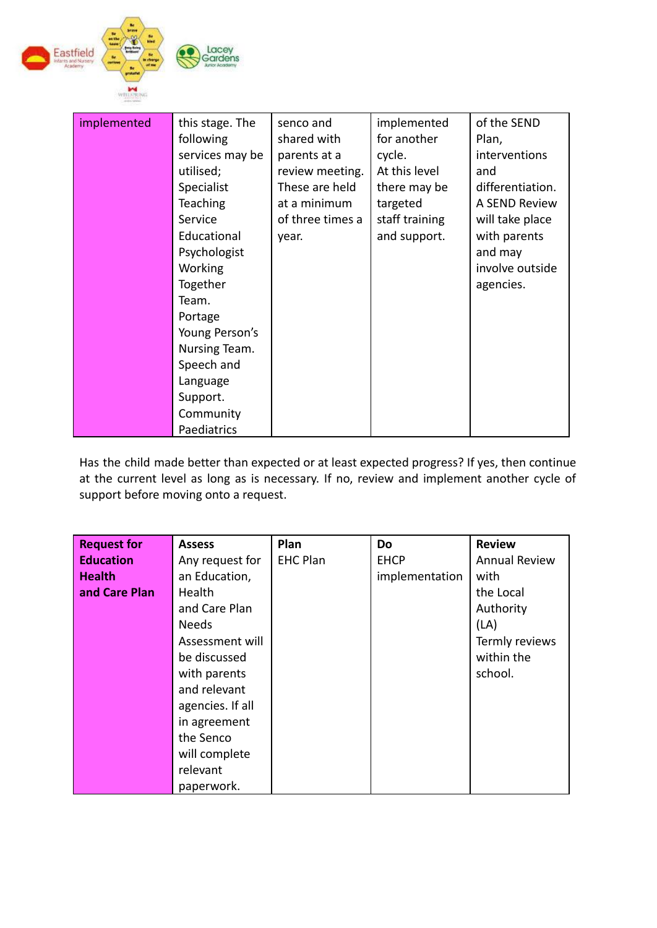

| implemented | this stage. The | senco and        | implemented    | of the SEND      |
|-------------|-----------------|------------------|----------------|------------------|
|             | following       | shared with      | for another    | Plan,            |
|             | services may be | parents at a     | cycle.         | interventions    |
|             | utilised;       | review meeting.  | At this level  | and              |
|             | Specialist      | These are held   | there may be   | differentiation. |
|             | <b>Teaching</b> | at a minimum     | targeted       | A SEND Review    |
|             | Service         | of three times a | staff training | will take place  |
|             | Educational     | year.            | and support.   | with parents     |
|             | Psychologist    |                  |                | and may          |
|             | <b>Working</b>  |                  |                | involve outside  |
|             | Together        |                  |                | agencies.        |
|             | Team.           |                  |                |                  |
|             | Portage         |                  |                |                  |
|             | Young Person's  |                  |                |                  |
|             | Nursing Team.   |                  |                |                  |
|             | Speech and      |                  |                |                  |
|             | Language        |                  |                |                  |
|             | Support.        |                  |                |                  |
|             | Community       |                  |                |                  |
|             | Paediatrics     |                  |                |                  |

Has the child made better than expected or at least expected progress? If yes, then continue at the current level as long as is necessary. If no, review and implement another cycle of support before moving onto a request.

| <b>Request for</b> | <b>Assess</b>    | Plan            | Do             | <b>Review</b>        |
|--------------------|------------------|-----------------|----------------|----------------------|
| <b>Education</b>   | Any request for  | <b>EHC Plan</b> | <b>EHCP</b>    | <b>Annual Review</b> |
| <b>Health</b>      | an Education,    |                 | implementation | with                 |
| and Care Plan      | Health           |                 |                | the Local            |
|                    | and Care Plan    |                 |                | Authority            |
|                    | <b>Needs</b>     |                 |                | (LA)                 |
|                    | Assessment will  |                 |                | Termly reviews       |
|                    | be discussed     |                 |                | within the           |
|                    | with parents     |                 |                | school.              |
|                    | and relevant     |                 |                |                      |
|                    | agencies. If all |                 |                |                      |
|                    | in agreement     |                 |                |                      |
|                    | the Senco        |                 |                |                      |
|                    | will complete    |                 |                |                      |
|                    | relevant         |                 |                |                      |
|                    | paperwork.       |                 |                |                      |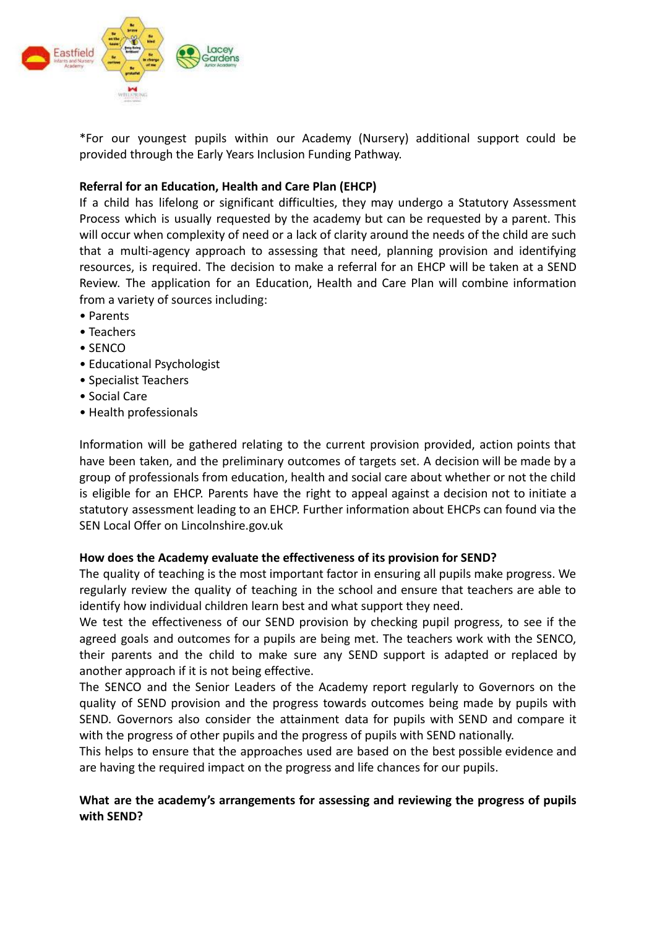

\*For our youngest pupils within our Academy (Nursery) additional support could be provided through the Early Years Inclusion Funding Pathway.

## **Referral for an Education, Health and Care Plan (EHCP)**

If a child has lifelong or significant difficulties, they may undergo a Statutory Assessment Process which is usually requested by the academy but can be requested by a parent. This will occur when complexity of need or a lack of clarity around the needs of the child are such that a multi-agency approach to assessing that need, planning provision and identifying resources, is required. The decision to make a referral for an EHCP will be taken at a SEND Review. The application for an Education, Health and Care Plan will combine information from a variety of sources including:

- Parents
- Teachers
- SENCO
- Educational Psychologist
- Specialist Teachers
- Social Care
- Health professionals

Information will be gathered relating to the current provision provided, action points that have been taken, and the preliminary outcomes of targets set. A decision will be made by a group of professionals from education, health and social care about whether or not the child is eligible for an EHCP. Parents have the right to appeal against a decision not to initiate a statutory assessment leading to an EHCP. Further information about EHCPs can found via the SEN Local Offer on Lincolnshire.gov.uk

#### **How does the Academy evaluate the effectiveness of its provision for SEND?**

The quality of teaching is the most important factor in ensuring all pupils make progress. We regularly review the quality of teaching in the school and ensure that teachers are able to identify how individual children learn best and what support they need.

We test the effectiveness of our SEND provision by checking pupil progress, to see if the agreed goals and outcomes for a pupils are being met. The teachers work with the SENCO, their parents and the child to make sure any SEND support is adapted or replaced by another approach if it is not being effective.

The SENCO and the Senior Leaders of the Academy report regularly to Governors on the quality of SEND provision and the progress towards outcomes being made by pupils with SEND. Governors also consider the attainment data for pupils with SEND and compare it with the progress of other pupils and the progress of pupils with SEND nationally.

This helps to ensure that the approaches used are based on the best possible evidence and are having the required impact on the progress and life chances for our pupils.

## **What are the academy's arrangements for assessing and reviewing the progress of pupils with SEND?**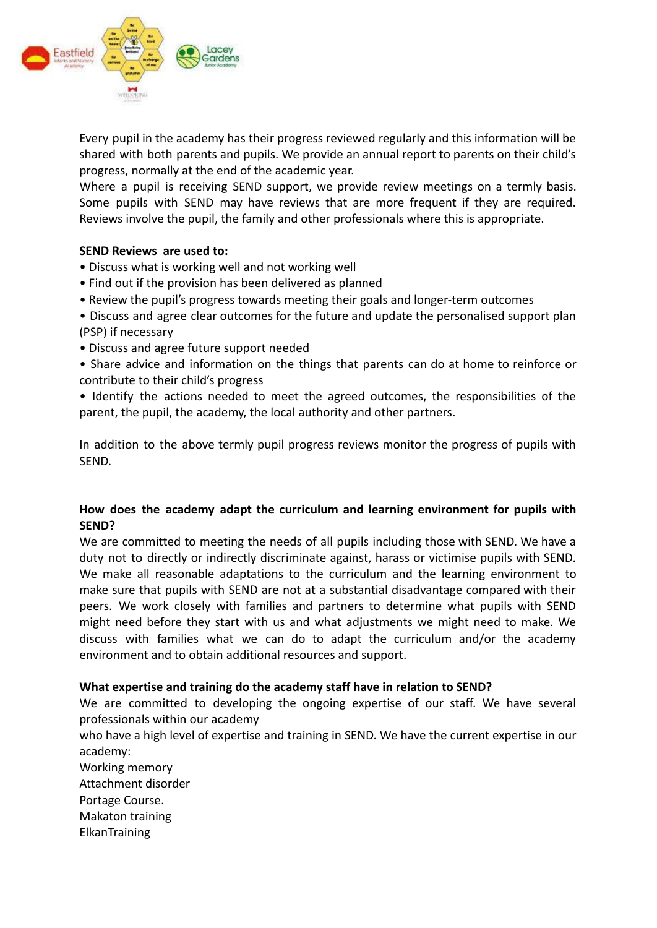

Every pupil in the academy has their progress reviewed regularly and this information will be shared with both parents and pupils. We provide an annual report to parents on their child's progress, normally at the end of the academic year.

Where a pupil is receiving SEND support, we provide review meetings on a termly basis. Some pupils with SEND may have reviews that are more frequent if they are required. Reviews involve the pupil, the family and other professionals where this is appropriate.

#### **SEND Reviews are used to:**

- Discuss what is working well and not working well
- Find out if the provision has been delivered as planned
- Review the pupil's progress towards meeting their goals and longer-term outcomes
- Discuss and agree clear outcomes for the future and update the personalised support plan (PSP) if necessary
- Discuss and agree future support needed
- Share advice and information on the things that parents can do at home to reinforce or contribute to their child's progress
- Identify the actions needed to meet the agreed outcomes, the responsibilities of the parent, the pupil, the academy, the local authority and other partners.

In addition to the above termly pupil progress reviews monitor the progress of pupils with SEND.

### **How does the academy adapt the curriculum and learning environment for pupils with SEND?**

We are committed to meeting the needs of all pupils including those with SEND. We have a duty not to directly or indirectly discriminate against, harass or victimise pupils with SEND. We make all reasonable adaptations to the curriculum and the learning environment to make sure that pupils with SEND are not at a substantial disadvantage compared with their peers. We work closely with families and partners to determine what pupils with SEND might need before they start with us and what adjustments we might need to make. We discuss with families what we can do to adapt the curriculum and/or the academy environment and to obtain additional resources and support.

#### **What expertise and training do the academy staff have in relation to SEND?**

We are committed to developing the ongoing expertise of our staff. We have several professionals within our academy

who have a high level of expertise and training in SEND. We have the current expertise in our academy:

- Working memory Attachment disorder Portage Course.
- Makaton training
- ElkanTraining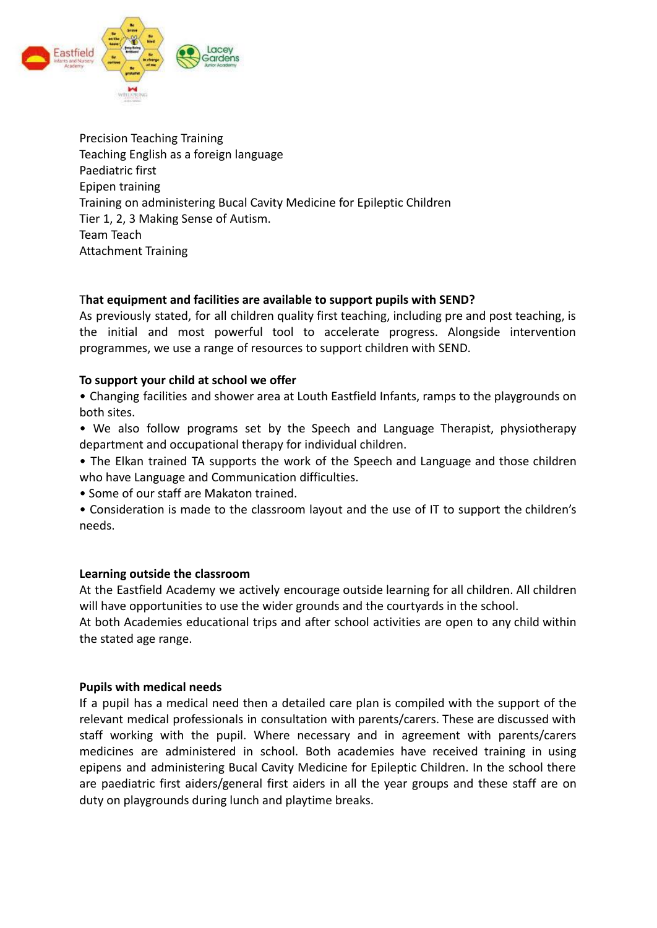

Precision Teaching Training Teaching English as a foreign language Paediatric first Epipen training Training on administering Bucal Cavity Medicine for Epileptic Children Tier 1, 2, 3 Making Sense of Autism. Team Teach Attachment Training

### T**hat equipment and facilities are available to support pupils with SEND?**

As previously stated, for all children quality first teaching, including pre and post teaching, is the initial and most powerful tool to accelerate progress. Alongside intervention programmes, we use a range of resources to support children with SEND.

#### **To support your child at school we offer**

- Changing facilities and shower area at Louth Eastfield Infants, ramps to the playgrounds on both sites.
- We also follow programs set by the Speech and Language Therapist, physiotherapy department and occupational therapy for individual children.
- The Elkan trained TA supports the work of the Speech and Language and those children who have Language and Communication difficulties.
- Some of our staff are Makaton trained.
- Consideration is made to the classroom layout and the use of IT to support the children's needs.

#### **Learning outside the classroom**

At the Eastfield Academy we actively encourage outside learning for all children. All children will have opportunities to use the wider grounds and the courtyards in the school.

At both Academies educational trips and after school activities are open to any child within the stated age range.

#### **Pupils with medical needs**

If a pupil has a medical need then a detailed care plan is compiled with the support of the relevant medical professionals in consultation with parents/carers. These are discussed with staff working with the pupil. Where necessary and in agreement with parents/carers medicines are administered in school. Both academies have received training in using epipens and administering Bucal Cavity Medicine for Epileptic Children. In the school there are paediatric first aiders/general first aiders in all the year groups and these staff are on duty on playgrounds during lunch and playtime breaks.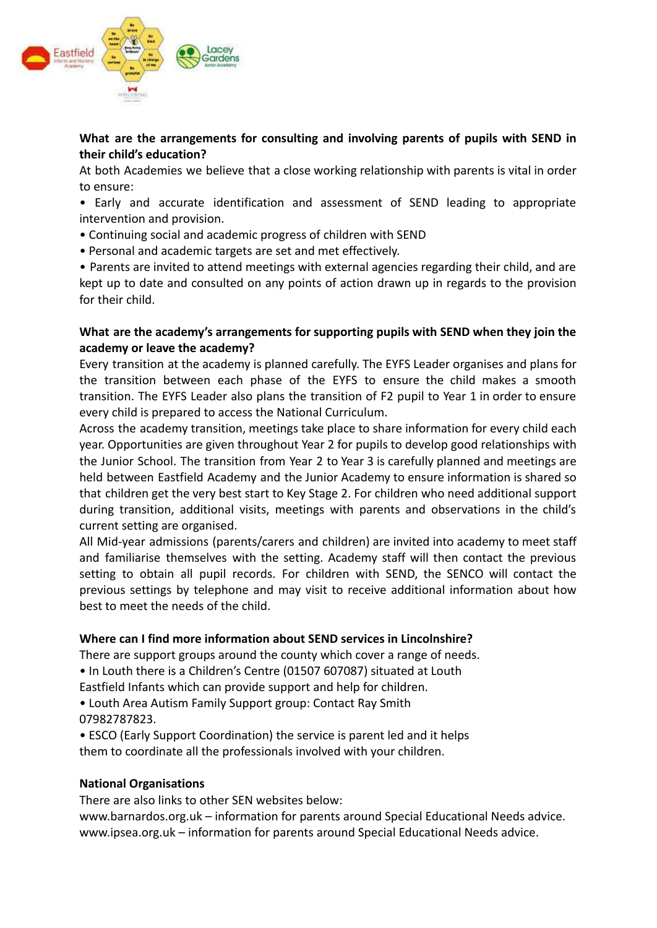

## **What are the arrangements for consulting and involving parents of pupils with SEND in their child's education?**

At both Academies we believe that a close working relationship with parents is vital in order to ensure:

• Early and accurate identification and assessment of SEND leading to appropriate intervention and provision.

- Continuing social and academic progress of children with SEND
- Personal and academic targets are set and met effectively.

• Parents are invited to attend meetings with external agencies regarding their child, and are kept up to date and consulted on any points of action drawn up in regards to the provision for their child.

### **What are the academy's arrangements for supporting pupils with SEND when they join the academy or leave the academy?**

Every transition at the academy is planned carefully. The EYFS Leader organises and plans for the transition between each phase of the EYFS to ensure the child makes a smooth transition. The EYFS Leader also plans the transition of F2 pupil to Year 1 in order to ensure every child is prepared to access the National Curriculum.

Across the academy transition, meetings take place to share information for every child each year. Opportunities are given throughout Year 2 for pupils to develop good relationships with the Junior School. The transition from Year 2 to Year 3 is carefully planned and meetings are held between Eastfield Academy and the Junior Academy to ensure information is shared so that children get the very best start to Key Stage 2. For children who need additional support during transition, additional visits, meetings with parents and observations in the child's current setting are organised.

All Mid-year admissions (parents/carers and children) are invited into academy to meet staff and familiarise themselves with the setting. Academy staff will then contact the previous setting to obtain all pupil records. For children with SEND, the SENCO will contact the previous settings by telephone and may visit to receive additional information about how best to meet the needs of the child.

## **Where can I find more information about SEND services in Lincolnshire?**

There are support groups around the county which cover a range of needs.

• In Louth there is a Children's Centre (01507 607087) situated at Louth

Eastfield Infants which can provide support and help for children.

• Louth Area Autism Family Support group: Contact Ray Smith 07982787823.

• ESCO (Early Support Coordination) the service is parent led and it helps them to coordinate all the professionals involved with your children.

#### **National Organisations**

There are also links to other SEN websites below:

www.barnardos.org.uk – information for parents around Special Educational Needs advice. www.ipsea.org.uk – information for parents around Special Educational Needs advice.